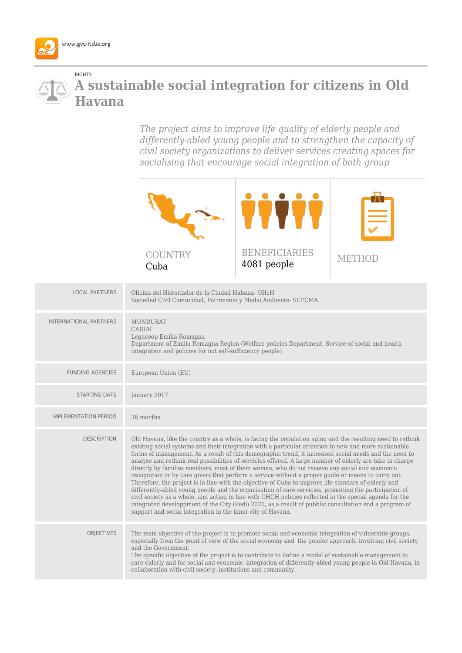

## RIGHTS **A sustainable social integration for citizens in Old Havana**

*The project aims to improve life quality of elderly people and differently-abled young people and to strengthen the capacity of civil society organizations to deliver services creating spaces for socialising that encourage social integration of both group*



| <b>LOCAL PARTNERS</b>        | Oficina del Historiador de la Ciudad Habana-OHcH<br>Sociedad Civil Comunidad, Patrimonio y Medio Ambiente- SCPCMA                                                                                                                                                                                                                                                                                                                                                                                                                                                                                                                                                                                                                                                                                                                                                                                                                                                                                                                                                                                                                                  |
|------------------------------|----------------------------------------------------------------------------------------------------------------------------------------------------------------------------------------------------------------------------------------------------------------------------------------------------------------------------------------------------------------------------------------------------------------------------------------------------------------------------------------------------------------------------------------------------------------------------------------------------------------------------------------------------------------------------------------------------------------------------------------------------------------------------------------------------------------------------------------------------------------------------------------------------------------------------------------------------------------------------------------------------------------------------------------------------------------------------------------------------------------------------------------------------|
| INTERNATIONAL PARTNERS       | <b>MUNDUBAT</b><br>CADIAI<br>Legacoop Emilia-Romagna<br>Department of Emilia Romagna Region (Welfare policies Department, Service of social and health<br>integration and policies for not self-sufficiency people).                                                                                                                                                                                                                                                                                                                                                                                                                                                                                                                                                                                                                                                                                                                                                                                                                                                                                                                               |
| <b>FUNDING AGENCIES</b>      | European Union (EU)                                                                                                                                                                                                                                                                                                                                                                                                                                                                                                                                                                                                                                                                                                                                                                                                                                                                                                                                                                                                                                                                                                                                |
| <b>STARTING DATE</b>         | January 2017                                                                                                                                                                                                                                                                                                                                                                                                                                                                                                                                                                                                                                                                                                                                                                                                                                                                                                                                                                                                                                                                                                                                       |
| <b>IMPLEMENTATION PERIOD</b> | 36 months                                                                                                                                                                                                                                                                                                                                                                                                                                                                                                                                                                                                                                                                                                                                                                                                                                                                                                                                                                                                                                                                                                                                          |
| <b>DESCRIPTION</b>           | Old Havana, like the country as a whole, is facing the population aging and the resulting need to rethink<br>existing social systems and their integration with a particular attention to new and more sustainable<br>forms of management. As a result of this demographic trend, it increased social needs and the need to<br>analyse and rethink real possibilities of servicies offered. A large number of elderly are take in charge<br>directly by families members, most of them woman, who do not receive any social and economic<br>recognition or by care givers that perform a service without a proper guide or means to carry out.<br>Therefore, the project is in line with the objective of Cuba to improve life standars of elderly and<br>differently-abled young people and the organization of care servicies, promoting the participation of<br>civil society as a whole, and acting in line with OHCH policies reflected in the special agenda for the<br>integrated developpment of the City (Pedi) 2020, as a result of pubblic consultation and a program of<br>support and social integration in the inner city of Havana. |
| <b>OBJECTIVES</b>            | The main objective of the project is to promote social and economic integration of vulnerable groups,<br>especially from the point of view of the social economy and the gender approach, involving civil society<br>and the Government.<br>The specific objective of the project is to contribute to define a model of sustainable management to<br>care elderly and for social and economic integration of differently-abled young people in Old Havana, in<br>collaboration with civil society, institutions and community.                                                                                                                                                                                                                                                                                                                                                                                                                                                                                                                                                                                                                     |